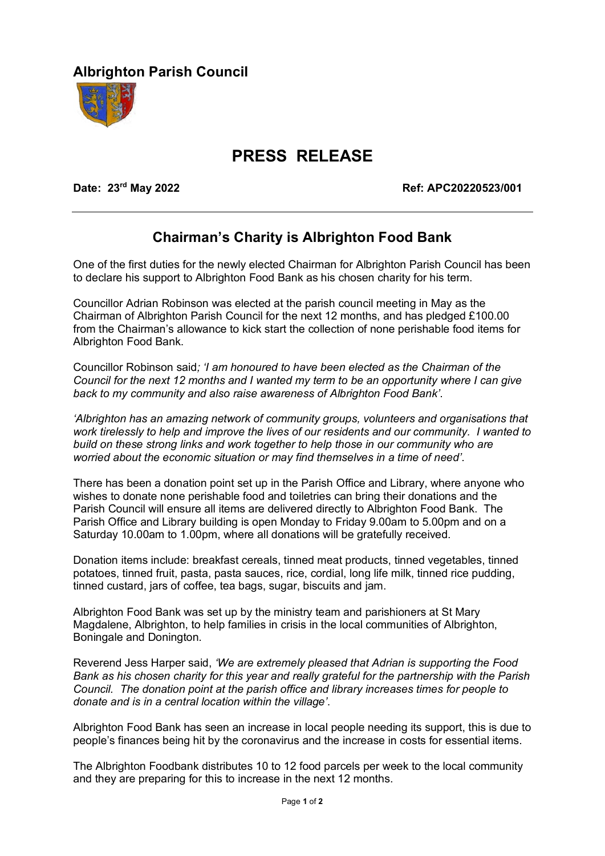## **Albrighton Parish Council**



## **PRESS RELEASE**

**Date: 23rd May 2022 Ref: APC20220523/001** 

## **Chairman's Charity is Albrighton Food Bank**

One of the first duties for the newly elected Chairman for Albrighton Parish Council has been to declare his support to Albrighton Food Bank as his chosen charity for his term.

Councillor Adrian Robinson was elected at the parish council meeting in May as the Chairman of Albrighton Parish Council for the next 12 months, and has pledged £100.00 from the Chairman's allowance to kick start the collection of none perishable food items for Albrighton Food Bank.

Councillor Robinson said*; 'I am honoured to have been elected as the Chairman of the Council for the next 12 months and I wanted my term to be an opportunity where I can give back to my community and also raise awareness of Albrighton Food Bank'*.

*'Albrighton has an amazing network of community groups, volunteers and organisations that work tirelessly to help and improve the lives of our residents and our community. I wanted to build on these strong links and work together to help those in our community who are worried about the economic situation or may find themselves in a time of need'*.

There has been a donation point set up in the Parish Office and Library, where anyone who wishes to donate none perishable food and toiletries can bring their donations and the Parish Council will ensure all items are delivered directly to Albrighton Food Bank. The Parish Office and Library building is open Monday to Friday 9.00am to 5.00pm and on a Saturday 10.00am to 1.00pm, where all donations will be gratefully received.

Donation items include: breakfast cereals, tinned meat products, tinned vegetables, tinned potatoes, tinned fruit, pasta, pasta sauces, rice, cordial, long life milk, tinned rice pudding, tinned custard, jars of coffee, tea bags, sugar, biscuits and jam.

Albrighton Food Bank was set up by the ministry team and parishioners at St Mary Magdalene, Albrighton, to help families in crisis in the local communities of Albrighton, Boningale and Donington.

Reverend Jess Harper said, *'We are extremely pleased that Adrian is supporting the Food Bank as his chosen charity for this year and really grateful for the partnership with the Parish Council. The donation point at the parish office and library increases times for people to donate and is in a central location within the village'*.

Albrighton Food Bank has seen an increase in local people needing its support, this is due to people's finances being hit by the coronavirus and the increase in costs for essential items.

The Albrighton Foodbank distributes 10 to 12 food parcels per week to the local community and they are preparing for this to increase in the next 12 months.